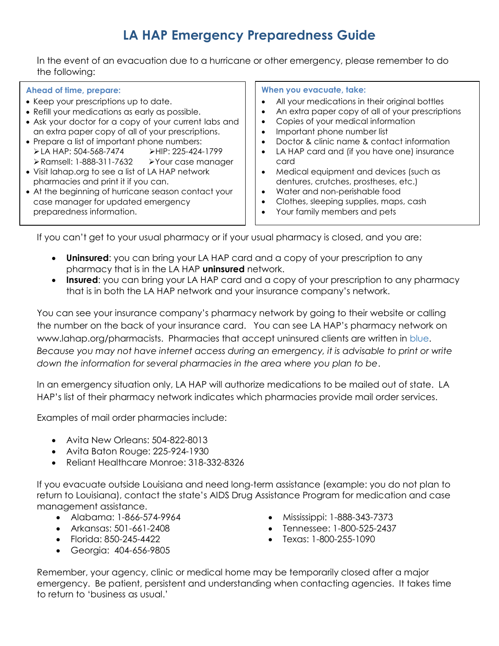# **LA HAP Emergency Preparedness Guide**

In the event of an evacuation due to a hurricane or other emergency, please remember to do the following:

## **Ahead of time, prepare:**

- Keep your prescriptions up to date.
- Refill your medications as early as possible.
- Ask your doctor for a copy of your current labs and an extra paper copy of all of your prescriptions.
- Prepare a list of important phone numbers: **>LA HAP: 504-568-7474 >HIP: 225-424-1799** Ramsell: 1-888-311-7632 Your case manager
- Visit lahap.org to see a list of LA HAP network pharmacies and print it if you can.
- At the beginning of hurricane season contact your case manager for updated emergency preparedness information.

## **When you evacuate, take:**

- All your medications in their original bottles
- An extra paper copy of all of your prescriptions
- Copies of your medical information
- Important phone number list
- Doctor & clinic name & contact information
- LA HAP card and (if you have one) insurance card
- Medical equipment and devices (such as dentures, crutches, prostheses, etc.)
- Water and non-perishable food
- Clothes, sleeping supplies, maps, cash
- Your family members and pets

If you can't get to your usual pharmacy or if your usual pharmacy is closed, and you are:

- **Uninsured**: you can bring your LA HAP card and a copy of your prescription to any pharmacy that is in the LA HAP **uninsured** network.
- **Insured**: you can bring your LA HAP card and a copy of your prescription to any pharmacy that is in both the LA HAP network and your insurance company's network.

You can see your insurance company's pharmacy network by going to their website or calling the number on the back of your insurance card. You can see LA HAP's pharmacy network on www.lahap.org/pharmacists. Pharmacies that accept uninsured clients are written in blue. *Because you may not have internet access during an emergency, it is advisable to print or write down the information for several pharmacies in the area where you plan to be*.

In an emergency situation only, LA HAP will authorize medications to be mailed out of state. LA HAP's list of their pharmacy network indicates which pharmacies provide mail order services.

Examples of mail order pharmacies include:

- Avita New Orleans: 504-822-8013
- Avita Baton Rouge: 225-924-1930
- Reliant Healthcare Monroe: 318-332-8326

If you evacuate outside Louisiana and need long-term assistance (example: you do not plan to return to Louisiana), contact the state's AIDS Drug Assistance Program for medication and case management assistance.

- Alabama: 1-866-574-9964
- Arkansas: 501-661-2408
- Florida: 850-245-4422
- Georgia: 404-656-9805
- Mississippi: 1-888-343-7373
- Tennessee: 1-800-525-2437
- Texas: 1-800-255-1090

Remember, your agency, clinic or medical home may be temporarily closed after a major emergency. Be patient, persistent and understanding when contacting agencies. It takes time to return to 'business as usual.'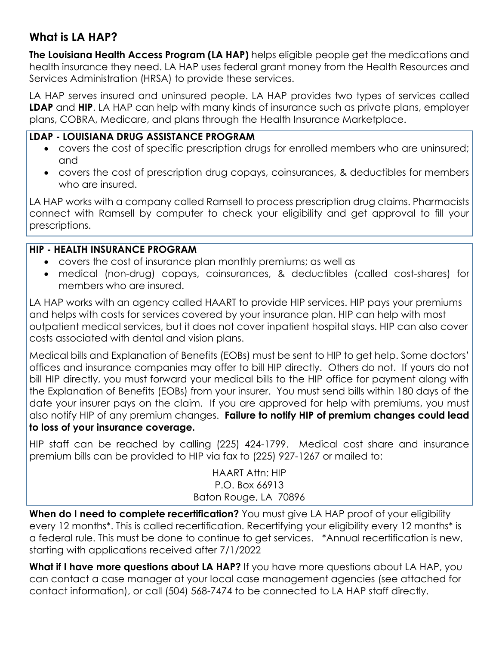## **What is LA HAP?**

**The Louisiana Health Access Program (LA HAP)** helps eligible people get the medications and health insurance they need. LA HAP uses federal grant money from the Health Resources and Services Administration (HRSA) to provide these services.

LA HAP serves insured and uninsured people. LA HAP provides two types of services called **LDAP** and **HIP**. LA HAP can help with many kinds of insurance such as private plans, employer plans, COBRA, Medicare, and plans through the Health Insurance Marketplace.

## **LDAP - LOUISIANA DRUG ASSISTANCE PROGRAM**

- covers the cost of specific prescription drugs for enrolled members who are uninsured; and
- covers the cost of prescription drug copays, coinsurances, & deductibles for members who are insured.

LA HAP works with a company called Ramsell to process prescription drug claims. Pharmacists connect with Ramsell by computer to check your eligibility and get approval to fill your prescriptions.

## **HIP - HEALTH INSURANCE PROGRAM**

- covers the cost of insurance plan monthly premiums; as well as
- medical (non-drug) copays, coinsurances, & deductibles (called cost-shares) for members who are insured.

LA HAP works with an agency called HAART to provide HIP services. HIP pays your premiums and helps with costs for services covered by your insurance plan. HIP can help with most outpatient medical services, but it does not cover inpatient hospital stays. HIP can also cover costs associated with dental and vision plans.

Medical bills and Explanation of Benefits (EOBs) must be sent to HIP to get help. Some doctors' offices and insurance companies may offer to bill HIP directly. Others do not. If yours do not bill HIP directly, you must forward your medical bills to the HIP office for payment along with the Explanation of Benefits (EOBs) from your insurer. You must send bills within 180 days of the date your insurer pays on the claim. If you are approved for help with premiums, you must also notify HIP of any premium changes. **Failure to notify HIP of premium changes could lead to loss of your insurance coverage.** 

HIP staff can be reached by calling (225) 424-1799. Medical cost share and insurance premium bills can be provided to HIP via fax to (225) 927-1267 or mailed to:

> HAART Attn: HIP P.O. Box 66913 Baton Rouge, LA 70896

**When do I need to complete recertification?** You must give LA HAP proof of your eligibility every 12 months\*. This is called recertification. Recertifying your eligibility every 12 months\* is a federal rule. This must be done to continue to get services. \*Annual recertification is new, starting with applications received after 7/1/2022

What if I have more questions about LA HAP? If you have more questions about LA HAP, you can contact a case manager at your local case management agencies (see attached for contact information), or call (504) 568-7474 to be connected to LA HAP staff directly.